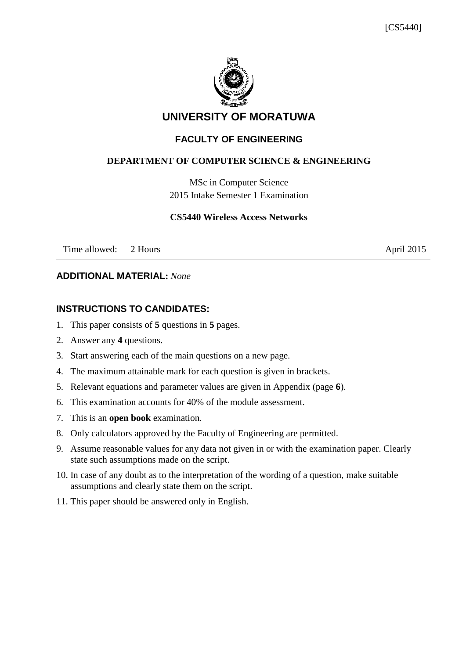

# **UNIVERSITY OF MORATUWA**

## **FACULTY OF ENGINEERING**

#### **DEPARTMENT OF COMPUTER SCIENCE & ENGINEERING**

MSc in Computer Science 2015 Intake Semester 1 Examination

#### **CS5440 Wireless Access Networks**

Time allowed: 2 Hours April 2015

#### **ADDITIONAL MATERIAL:** *None*

### **INSTRUCTIONS TO CANDIDATES:**

- 1. This paper consists of **5** questions in **5** pages.
- 2. Answer any **4** questions.
- 3. Start answering each of the main questions on a new page.
- 4. The maximum attainable mark for each question is given in brackets.
- 5. Relevant equations and parameter values are given in Appendix (page **6**).
- 6. This examination accounts for 40% of the module assessment.
- 7. This is an **open book** examination.
- 8. Only calculators approved by the Faculty of Engineering are permitted.
- 9. Assume reasonable values for any data not given in or with the examination paper. Clearly state such assumptions made on the script.
- 10. In case of any doubt as to the interpretation of the wording of a question, make suitable assumptions and clearly state them on the script.
- 11. This paper should be answered only in English.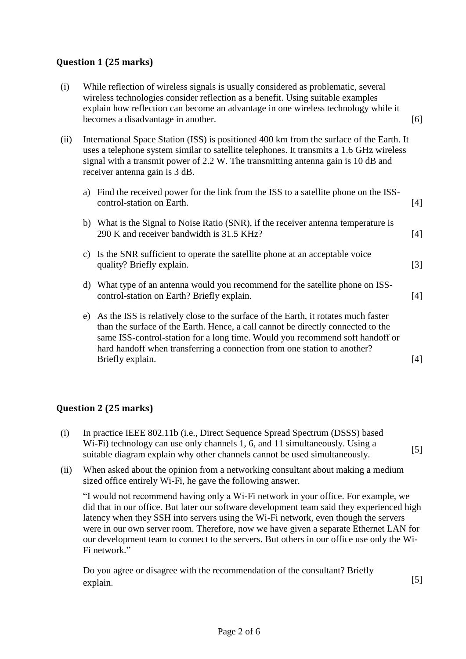### **Question 1 (25 marks)**

| (i)  | While reflection of wireless signals is usually considered as problematic, several<br>wireless technologies consider reflection as a benefit. Using suitable examples<br>explain how reflection can become an advantage in one wireless technology while it<br>becomes a disadvantage in another.           |                                                                                                                                                                                                                                                                                                                                                         | [6]   |
|------|-------------------------------------------------------------------------------------------------------------------------------------------------------------------------------------------------------------------------------------------------------------------------------------------------------------|---------------------------------------------------------------------------------------------------------------------------------------------------------------------------------------------------------------------------------------------------------------------------------------------------------------------------------------------------------|-------|
| (ii) | International Space Station (ISS) is positioned 400 km from the surface of the Earth. It<br>uses a telephone system similar to satellite telephones. It transmits a 1.6 GHz wireless<br>signal with a transmit power of 2.2 W. The transmitting antenna gain is 10 dB and<br>receiver antenna gain is 3 dB. |                                                                                                                                                                                                                                                                                                                                                         |       |
|      |                                                                                                                                                                                                                                                                                                             | a) Find the received power for the link from the ISS to a satellite phone on the ISS-<br>control-station on Earth.                                                                                                                                                                                                                                      | $[4]$ |
|      |                                                                                                                                                                                                                                                                                                             | b) What is the Signal to Noise Ratio (SNR), if the receiver antenna temperature is<br>290 K and receiver bandwidth is 31.5 KHz?                                                                                                                                                                                                                         | $[4]$ |
|      | $\mathbf{c}$ )                                                                                                                                                                                                                                                                                              | Is the SNR sufficient to operate the satellite phone at an acceptable voice<br>quality? Briefly explain.                                                                                                                                                                                                                                                | $[3]$ |
|      | d)                                                                                                                                                                                                                                                                                                          | What type of an antenna would you recommend for the satellite phone on ISS-<br>control-station on Earth? Briefly explain.                                                                                                                                                                                                                               | $[4]$ |
|      | e)                                                                                                                                                                                                                                                                                                          | As the ISS is relatively close to the surface of the Earth, it rotates much faster<br>than the surface of the Earth. Hence, a call cannot be directly connected to the<br>same ISS-control-station for a long time. Would you recommend soft handoff or<br>hard handoff when transferring a connection from one station to another?<br>Briefly explain. | $[4]$ |

### **Question 2 (25 marks)**

- (i) In practice IEEE 802.11b (i.e., Direct Sequence Spread Spectrum (DSSS) based W<sub>i-Fi</sub>) technology can use only channels 1, 6, and 11 simultaneously. Using a  $\frac{1}{2}$  suitable diagram explain why other channels cannot be used simultaneously. [5]
- (ii) When asked about the opinion from a networking consultant about making a medium sized office entirely Wi-Fi, he gave the following answer.

"I would not recommend having only a Wi-Fi network in your office. For example, we did that in our office. But later our software development team said they experienced high latency when they SSH into servers using the Wi-Fi network, even though the servers were in our own server room. Therefore, now we have given a separate Ethernet LAN for our development team to connect to the servers. But others in our office use only the Wi-Fi network."

Do you agree or disagree with the recommendation of the consultant? Briefly explain. [5]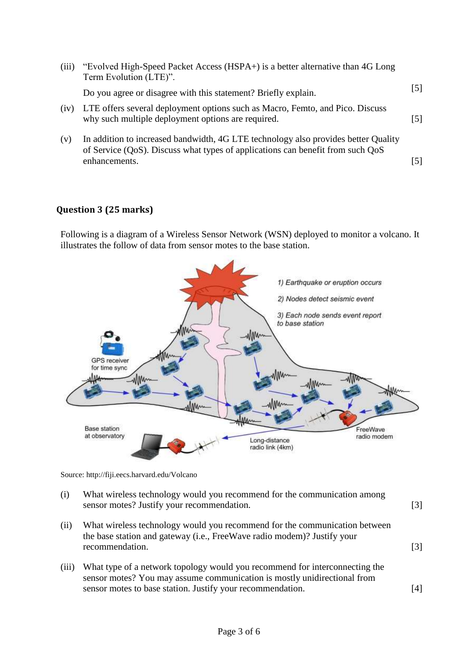| (iii) | "Evolved High-Speed Packet Access (HSPA+) is a better alternative than 4G Long<br>Term Evolution (LTE)".                                                                              |                              |
|-------|---------------------------------------------------------------------------------------------------------------------------------------------------------------------------------------|------------------------------|
|       | Do you agree or disagree with this statement? Briefly explain.                                                                                                                        | [5]                          |
| (iv)  | LTE offers several deployment options such as Macro, Femto, and Pico. Discuss<br>why such multiple deployment options are required.                                                   | [5]                          |
| (v)   | In addition to increased bandwidth, 4G LTE technology also provides better Quality<br>of Service (QoS). Discuss what types of applications can benefit from such QoS<br>enhancements. | $\left\lceil 5 \right\rceil$ |

#### **Question 3 (25 marks)**

Following is a diagram of a Wireless Sensor Network (WSN) deployed to monitor a volcano. It illustrates the follow of data from sensor motes to the base station.



Source: http://fiji.eecs.harvard.edu/Volcano

| (i)   | What wireless technology would you recommend for the communication among<br>sensor motes? Justify your recommendation.                                                   | $\lceil 3 \rceil$ |
|-------|--------------------------------------------------------------------------------------------------------------------------------------------------------------------------|-------------------|
| (ii)  | What wireless technology would you recommend for the communication between<br>the base station and gateway (i.e., FreeWave radio modem)? Justify your<br>recommendation. | $\lceil 3 \rceil$ |
| (iii) | What type of a network topology would you recommend for interconnecting the                                                                                              |                   |

sensor motes? You may assume communication is mostly unidirectional from sensor motes to base station. Justify your recommendation. [4]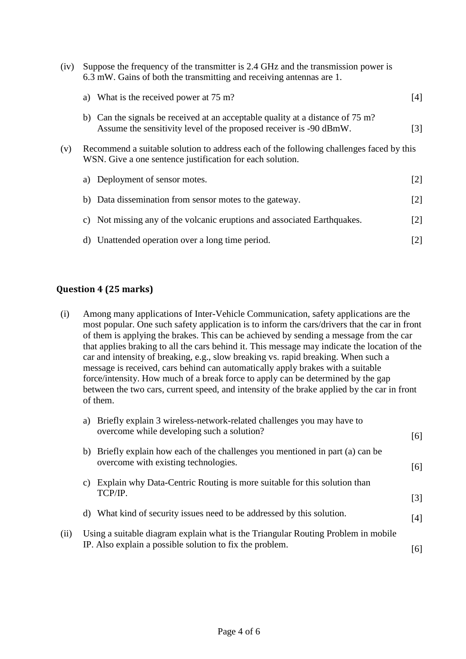| (iv)                                                                                                                                                        | Suppose the frequency of the transmitter is 2.4 GHz and the transmission power is<br>6.3 mW. Gains of both the transmitting and receiving antennas are 1. |                   |  |
|-------------------------------------------------------------------------------------------------------------------------------------------------------------|-----------------------------------------------------------------------------------------------------------------------------------------------------------|-------------------|--|
|                                                                                                                                                             | a) What is the received power at $75 \text{ m}$ ?                                                                                                         | [4]               |  |
|                                                                                                                                                             | b) Can the signals be received at an acceptable quality at a distance of 75 m?<br>Assume the sensitivity level of the proposed receiver is -90 dBmW.      | $\lceil 3 \rceil$ |  |
| Recommend a suitable solution to address each of the following challenges faced by this<br>(v)<br>WSN. Give a one sentence justification for each solution. |                                                                                                                                                           |                   |  |
|                                                                                                                                                             | Deployment of sensor motes.<br>a)                                                                                                                         | $\lceil 2 \rceil$ |  |
|                                                                                                                                                             | b) Data dissemination from sensor motes to the gateway.                                                                                                   | $\lceil 2 \rceil$ |  |
|                                                                                                                                                             | Not missing any of the volcanic eruptions and associated Earthquakes.<br>C)                                                                               | $\lceil 2 \rceil$ |  |
|                                                                                                                                                             | Unattended operation over a long time period.<br>d)                                                                                                       | $[2]$             |  |

#### **Question 4 (25 marks)**

(i) Among many applications of Inter-Vehicle Communication, safety applications are the most popular. One such safety application is to inform the cars/drivers that the car in front of them is applying the brakes. This can be achieved by sending a message from the car that applies braking to all the cars behind it. This message may indicate the location of the car and intensity of breaking, e.g., slow breaking vs. rapid breaking. When such a message is received, cars behind can automatically apply brakes with a suitable force/intensity. How much of a break force to apply can be determined by the gap between the two cars, current speed, and intensity of the brake applied by the car in front of them.

|      | a) | Briefly explain 3 wireless-network-related challenges you may have to<br>overcome while developing such a solution?                           | [6]               |
|------|----|-----------------------------------------------------------------------------------------------------------------------------------------------|-------------------|
|      |    | b) Briefly explain how each of the challenges you mentioned in part (a) can be<br>overcome with existing technologies.                        | [6]               |
|      | C) | Explain why Data-Centric Routing is more suitable for this solution than<br>TCP/IP.                                                           | $\lceil 3 \rceil$ |
|      |    | d) What kind of security issues need to be addressed by this solution.                                                                        | [4]               |
| (ii) |    | Using a suitable diagram explain what is the Triangular Routing Problem in mobile<br>IP. Also explain a possible solution to fix the problem. | 16 I              |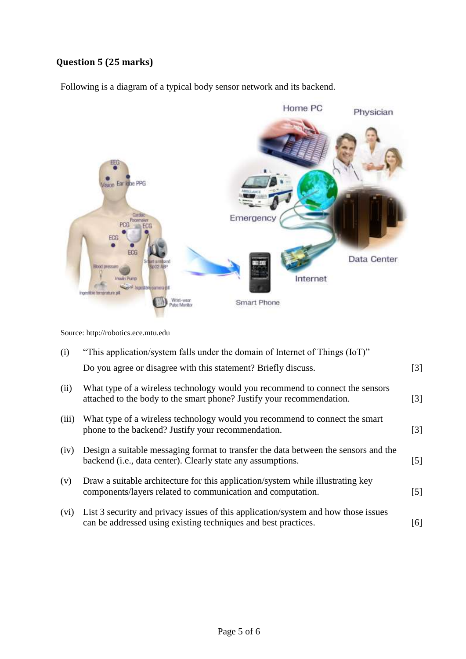# **Question 5 (25 marks)**

Following is a diagram of a typical body sensor network and its backend.



Source: http://robotics.ece.mtu.edu

| (i)   | "This application/system falls under the domain of Internet of Things (IoT)"                                                                                |                   |
|-------|-------------------------------------------------------------------------------------------------------------------------------------------------------------|-------------------|
|       | Do you agree or disagree with this statement? Briefly discuss.                                                                                              | $\lceil 3 \rceil$ |
| (ii)  | What type of a wireless technology would you recommend to connect the sensors<br>attached to the body to the smart phone? Justify your recommendation.      | $\lceil 3 \rceil$ |
| (iii) | What type of a wireless technology would you recommend to connect the smart<br>phone to the backend? Justify your recommendation.                           | $\lceil 3 \rceil$ |
| (iv)  | Design a suitable messaging format to transfer the data between the sensors and the<br>backend ( <i>i.e.</i> , data center). Clearly state any assumptions. | $\lceil 5 \rceil$ |
| (v)   | Draw a suitable architecture for this application/system while illustrating key<br>components/layers related to communication and computation.              | $\lceil 5 \rceil$ |
| (vi)  | List 3 security and privacy issues of this application/system and how those issues<br>can be addressed using existing techniques and best practices.        | [6]               |